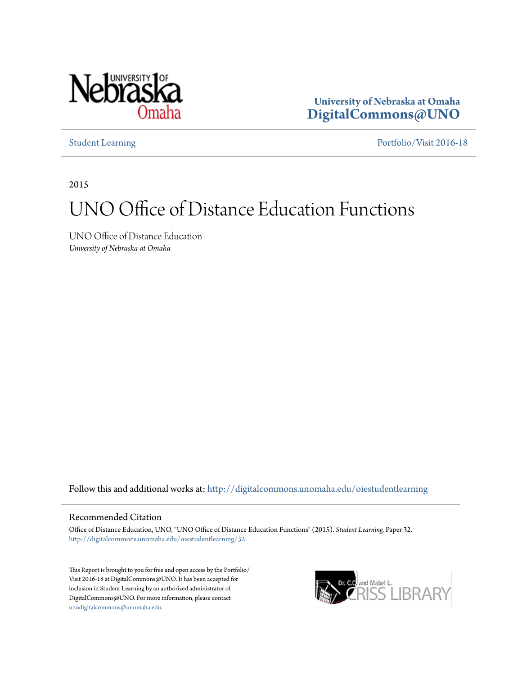

**University of Nebraska at Omaha [DigitalCommons@UNO](http://digitalcommons.unomaha.edu?utm_source=digitalcommons.unomaha.edu%2Foiestudentlearning%2F32&utm_medium=PDF&utm_campaign=PDFCoverPages)**

[Student Learning](http://digitalcommons.unomaha.edu/oiestudentlearning?utm_source=digitalcommons.unomaha.edu%2Foiestudentlearning%2F32&utm_medium=PDF&utm_campaign=PDFCoverPages) [Portfolio/Visit 2016-18](http://digitalcommons.unomaha.edu/oieportfolio?utm_source=digitalcommons.unomaha.edu%2Foiestudentlearning%2F32&utm_medium=PDF&utm_campaign=PDFCoverPages)

2015

## UNO Office of Distance Education Functions

UNO Office of Distance Education *University of Nebraska at Omaha*

Follow this and additional works at: [http://digitalcommons.unomaha.edu/oiestudentlearning](http://digitalcommons.unomaha.edu/oiestudentlearning?utm_source=digitalcommons.unomaha.edu%2Foiestudentlearning%2F32&utm_medium=PDF&utm_campaign=PDFCoverPages)

## Recommended Citation

Office of Distance Education, UNO, "UNO Office of Distance Education Functions" (2015). *Student Learning.* Paper 32. [http://digitalcommons.unomaha.edu/oiestudentlearning/32](http://digitalcommons.unomaha.edu/oiestudentlearning/32?utm_source=digitalcommons.unomaha.edu%2Foiestudentlearning%2F32&utm_medium=PDF&utm_campaign=PDFCoverPages)

This Report is brought to you for free and open access by the Portfolio/ Visit 2016-18 at DigitalCommons@UNO. It has been accepted for inclusion in Student Learning by an authorized administrator of DigitalCommons@UNO. For more information, please contact [unodigitalcommons@unomaha.edu](mailto:unodigitalcommons@unomaha.edu).